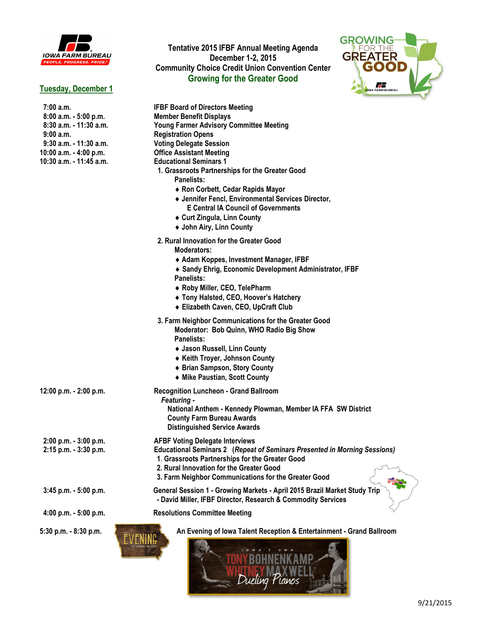

# **Tuesday, December 1**

### **Tentative 2015 IFBF Annual Meeting Agenda December 1-2, 2015 Community Choice Credit Union Convention Center Growing for the Greater Good**



| 7:00 a.m.<br>$8:00$ a.m. $-5:00$ p.m.<br>8:30 a.m. - 11:30 a.m.<br>9:00a.m.<br>9:30 a.m. - 11:30 a.m.<br>10:00 a.m. - 4:00 p.m.<br>10:30 a.m. - 11:45 a.m. | <b>IFBF Board of Directors Meeting</b><br><b>Member Benefit Displays</b><br><b>Young Farmer Advisory Committee Meeting</b><br><b>Registration Opens</b><br><b>Voting Delegate Session</b><br><b>Office Assistant Meeting</b><br><b>Educational Seminars 1</b><br>1. Grassroots Partnerships for the Greater Good<br>Panelists:<br>◆ Ron Corbett, Cedar Rapids Mayor<br>♦ Jennifer Fencl, Environmental Services Director,<br><b>E Central IA Council of Governments</b><br>◆ Curt Zingula, Linn County<br>◆ John Airy, Linn County |
|------------------------------------------------------------------------------------------------------------------------------------------------------------|------------------------------------------------------------------------------------------------------------------------------------------------------------------------------------------------------------------------------------------------------------------------------------------------------------------------------------------------------------------------------------------------------------------------------------------------------------------------------------------------------------------------------------|
|                                                                                                                                                            | 2. Rural Innovation for the Greater Good<br>Moderators:<br>◆ Adam Koppes, Investment Manager, IFBF<br>◆ Sandy Ehrig, Economic Development Administrator, IFBF<br>Panelists:<br>◆ Roby Miller, CEO, TelePharm<br>◆ Tony Halsted, CEO, Hoover's Hatchery<br>◆ Elizabeth Caven, CEO, UpCraft Club                                                                                                                                                                                                                                     |
|                                                                                                                                                            | 3. Farm Neighbor Communications for the Greater Good<br>Moderator: Bob Quinn, WHO Radio Big Show<br>Panelists:<br>◆ Jason Russell, Linn County<br>◆ Keith Troyer, Johnson County<br>◆ Brian Sampson, Story County<br>◆ Mike Paustian, Scott County                                                                                                                                                                                                                                                                                 |
| 12:00 p.m. - 2:00 p.m.                                                                                                                                     | <b>Recognition Luncheon - Grand Ballroom</b><br>Featuring -<br>National Anthem - Kennedy Plowman, Member IA FFA SW District<br><b>County Farm Bureau Awards</b><br><b>Distinguished Service Awards</b>                                                                                                                                                                                                                                                                                                                             |
| 2:00 p.m. - 3:00 p.m.<br>2:15 p.m. - 3:30 p.m.                                                                                                             | <b>AFBF Voting Delegate Interviews</b><br><b>Educational Seminars 2 (Repeat of Seminars Presented in Morning Sessions)</b><br>1. Grassroots Partnerships for the Greater Good<br>2. Rural Innovation for the Greater Good<br>3. Farm Neighbor Communications for the Greater Good                                                                                                                                                                                                                                                  |
| 3:45 p.m. - 5:00 p.m.                                                                                                                                      | General Session 1 - Growing Markets - April 2015 Brazil Market Study Trip<br>- David Miller, IFBF Director, Research & Commodity Services                                                                                                                                                                                                                                                                                                                                                                                          |
| 4:00 p.m. - 5:00 p.m.                                                                                                                                      | <b>Resolutions Committee Meeting</b>                                                                                                                                                                                                                                                                                                                                                                                                                                                                                               |
| 5:30 p.m. - 8:30 p.m.                                                                                                                                      | An Evening of Iowa Talent Reception & Entertainment - Grand Ballroom                                                                                                                                                                                                                                                                                                                                                                                                                                                               |